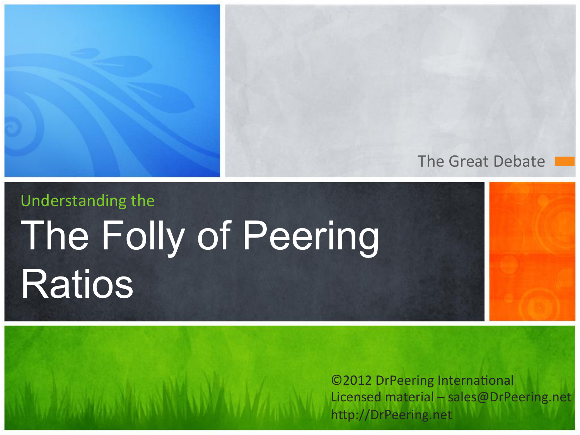#### The Great Debate

# Understanding the The Folly of Peering Ratios

©2012 DrPeering International Licensed material - sales@DrPeering.net http://DrPeering.net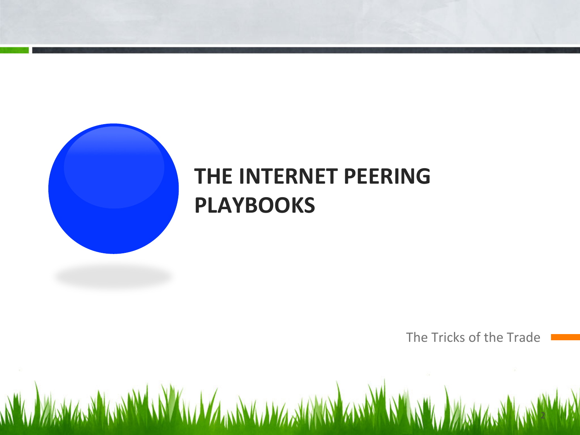

#### **THE INTERNET PEERING PLAYBOOKS**

2 

The Tricks of the Trade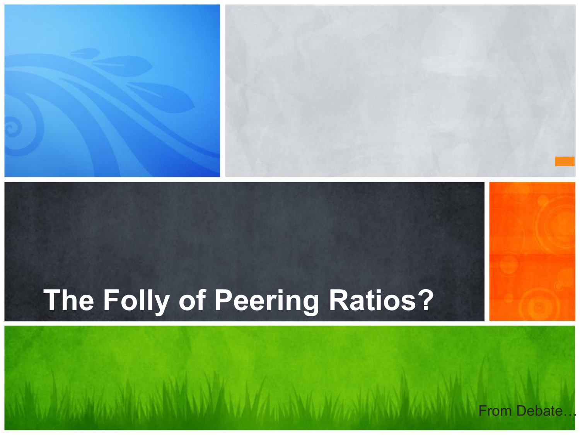#### **The Folly of Peering Ratios?**

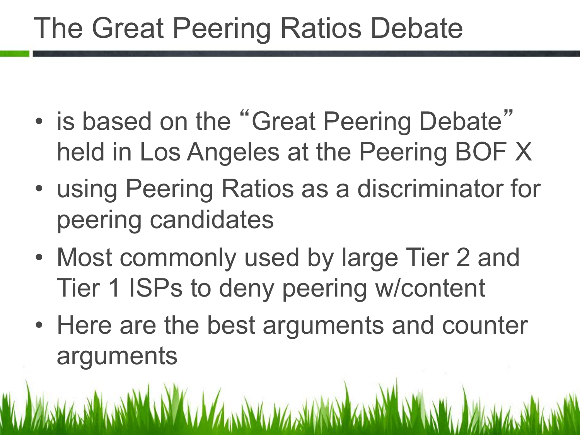#### The Great Peering Ratios Debate

- is based on the "Great Peering Debate" held in Los Angeles at the Peering BOF X
- using Peering Ratios as a discriminator for peering candidates
- Most commonly used by large Tier 2 and Tier 1 ISPs to deny peering w/content
- Here are the best arguments and counter arguments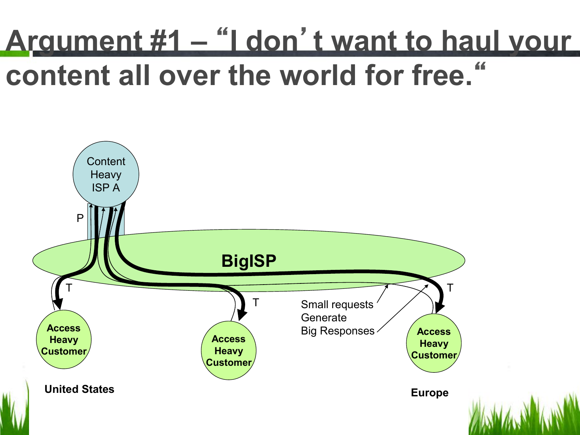# **Argument #1 –** "**I don**'**t want to haul your content all over the world for free.**"

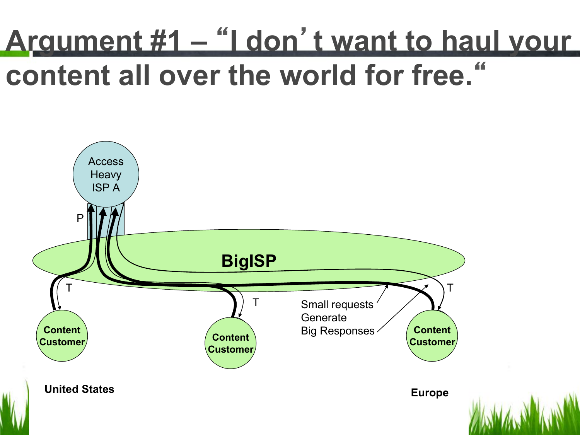# **Argument #1 –** "**I don**'**t want to haul your content all over the world for free.**"

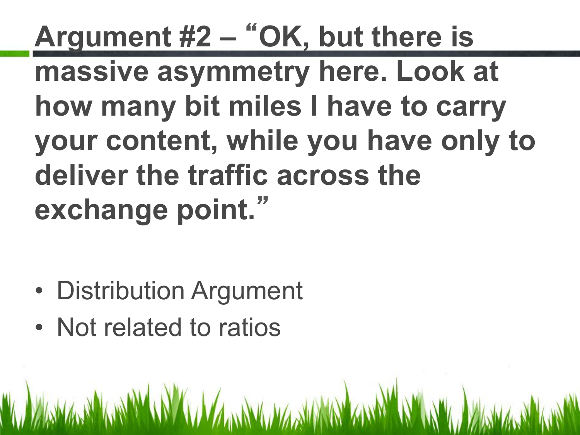**Argument #2 –** "**OK, but there is massive asymmetry here. Look at how many bit miles I have to carry your content, while you have only to deliver the traffic across the exchange point.**"

- Distribution Argument
- Not related to ratios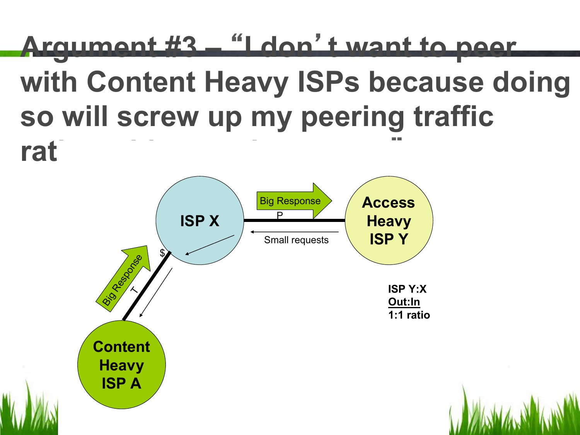### **Argument #3 –** "**I don**'**t want to peer with Content Heavy ISPs because doing so will screw up my peering traffic ratios with my other peers.**"

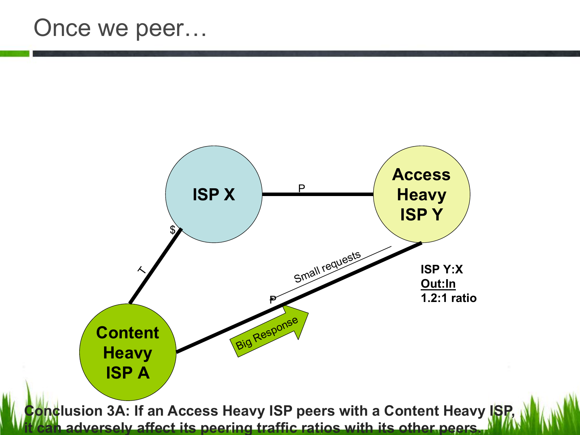#### Once we peer…

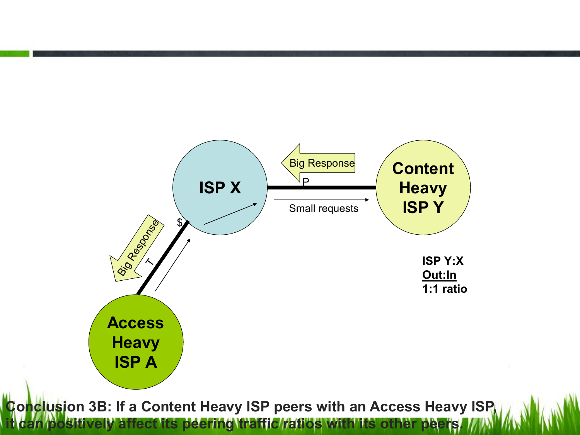

**Conclusion 3B: If a Content Heavy ISP peers with an Access Heavy ISP** sitively affect its peering traffic ratios with its other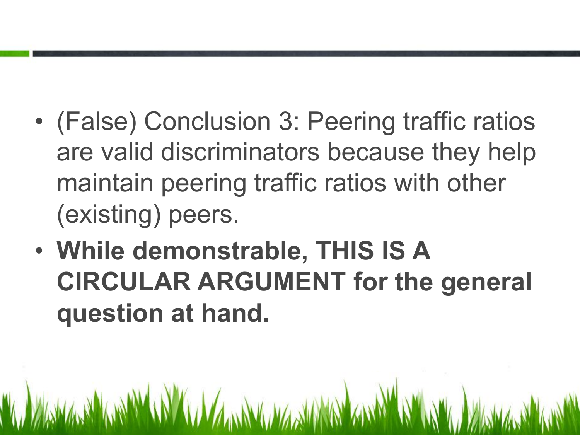- (False) Conclusion 3: Peering traffic ratios are valid discriminators because they help maintain peering traffic ratios with other (existing) peers.
- **While demonstrable, THIS IS A CIRCULAR ARGUMENT for the general question at hand.**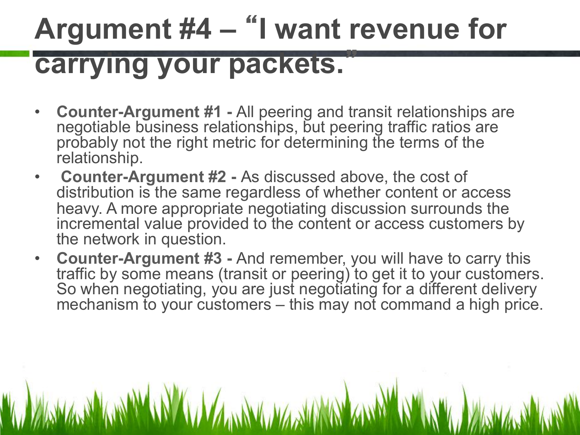# **Argument #4 –** "**I want revenue for carrying your packets.**"

- **Counter-Argument #1** All peering and transit relationships are negotiable business relationships, but peering traffic ratios are probably not the right metric for determining the terms of the relationship.
- **Counter-Argument #2** As discussed above, the cost of distribution is the same regardless of whether content or access heavy. A more appropriate negotiating discussion surrounds the incremental value provided to the content or access customers by the network in question.
- **Counter-Argument #3** And remember, you will have to carry this traffic by some means (transit or peering) to get it to your customers. So when negotiating, you are just negotiating for a different delivery mechanism to your customers – this may not command a high price.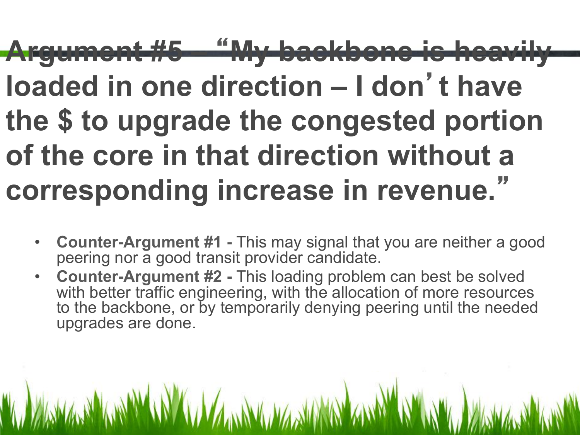### **Argument #5 –** "**My backbone is heavily loaded in one direction – I don**'**t have the \$ to upgrade the congested portion of the core in that direction without a corresponding increase in revenue.**"

- **Counter-Argument #1** This may signal that you are neither a good peering nor a good transit provider candidate.
- **Counter-Argument #2** This loading problem can best be solved with better traffic engineering, with the allocation of more resources to the backbone, or by temporarily denying peering until the needed upgrades are done.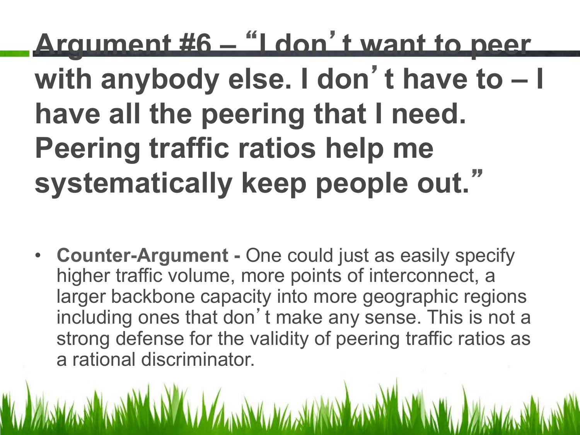**Argument #6 –** "**I don**'**t want to peer with anybody else. I don**'**t have to – I have all the peering that I need. Peering traffic ratios help me systematically keep people out.**"

• **Counter-Argument -** One could just as easily specify higher traffic volume, more points of interconnect, a larger backbone capacity into more geographic regions including ones that don't make any sense. This is not a strong defense for the validity of peering traffic ratios as a rational discriminator.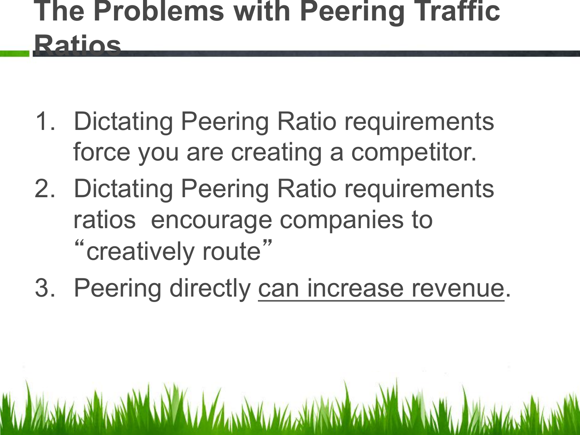#### **The Problems with Peering Traffic Ratios**

- 1. Dictating Peering Ratio requirements force you are creating a competitor.
- 2. Dictating Peering Ratio requirements ratios encourage companies to "creatively route"
- 3. Peering directly can increase revenue.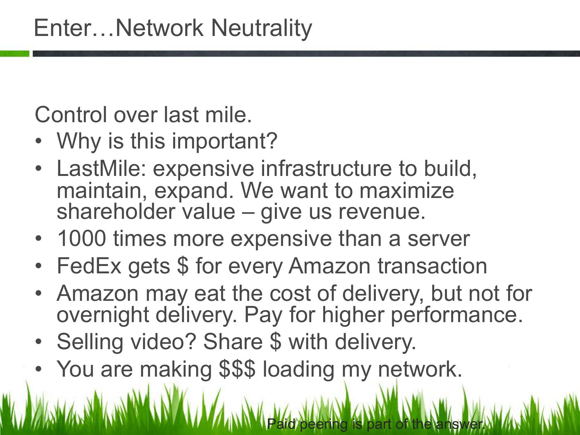Control over last mile.

- Why is this important?
- LastMile: expensive infrastructure to build, maintain, expand. We want to maximize shareholder value – give us revenue.
- 1000 times more expensive than a server
- FedEx gets \$ for every Amazon transaction
- Amazon may eat the cost of delivery, but not for overnight delivery. Pay for higher performance.

Paid peering is part of the answer.

- Selling video? Share \$ with delivery.
- You are making \$\$\$ loading my network.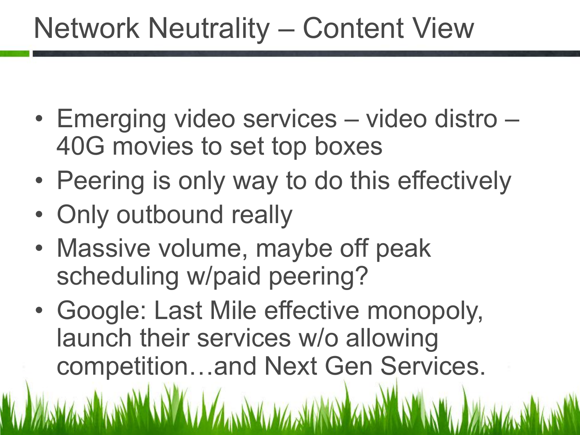#### Network Neutrality – Content View

- Emerging video services video distro 40G movies to set top boxes
- Peering is only way to do this effectively
- Only outbound really
- Massive volume, maybe off peak scheduling w/paid peering?
- Google: Last Mile effective monopoly, launch their services w/o allowing competition…and Next Gen Services.